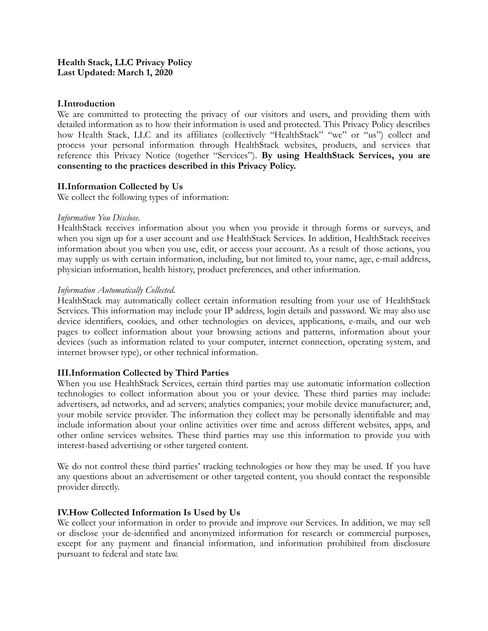## **I.Introduction**

We are committed to protecting the privacy of our visitors and users, and providing them with detailed information as to how their information is used and protected. This Privacy Policy describes how Health Stack, LLC and its affiliates (collectively "HealthStack" "we" or "us") collect and process your personal information through HealthStack websites, products, and services that reference this Privacy Notice (together "Services"). **By using HealthStack Services, you are consenting to the practices described in this Privacy Policy.**

### **II.Information Collected by Us**

We collect the following types of information:

#### *Information You Disclose.*

HealthStack receives information about you when you provide it through forms or surveys, and when you sign up for a user account and use HealthStack Services. In addition, HealthStack receives information about you when you use, edit, or access your account. As a result of those actions, you may supply us with certain information, including, but not limited to, your name, age, e-mail address, physician information, health history, product preferences, and other information.

#### *Information Automatically Collected.*

HealthStack may automatically collect certain information resulting from your use of HealthStack Services. This information may include your IP address, login details and password. We may also use device identifiers, cookies, and other technologies on devices, applications, e-mails, and our web pages to collect information about your browsing actions and patterns, information about your devices (such as information related to your computer, internet connection, operating system, and internet browser type), or other technical information.

#### **III.Information Collected by Third Parties**

When you use HealthStack Services, certain third parties may use automatic information collection technologies to collect information about you or your device. These third parties may include: advertisers, ad networks, and ad servers; analytics companies; your mobile device manufacturer; and, your mobile service provider. The information they collect may be personally identifiable and may include information about your online activities over time and across different websites, apps, and other online services websites. These third parties may use this information to provide you with interest-based advertising or other targeted content.

We do not control these third parties' tracking technologies or how they may be used. If you have any questions about an advertisement or other targeted content, you should contact the responsible provider directly.

## **IV.How Collected Information Is Used by Us**

We collect your information in order to provide and improve our Services. In addition, we may sell or disclose your de-identified and anonymized information for research or commercial purposes, except for any payment and financial information, and information prohibited from disclosure pursuant to federal and state law.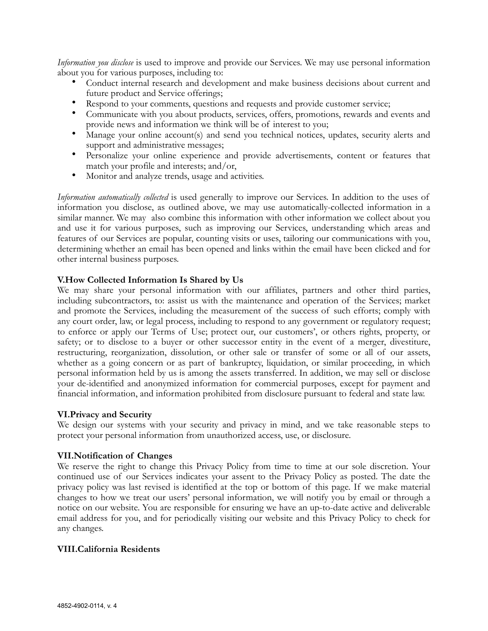*Information you disclose* is used to improve and provide our Services. We may use personal information about you for various purposes, including to:

- Conduct internal research and development and make business decisions about current and future product and Service offerings;
- Respond to your comments, questions and requests and provide customer service;
- Communicate with you about products, services, offers, promotions, rewards and events and provide news and information we think will be of interest to you;
- Manage your online account(s) and send you technical notices, updates, security alerts and support and administrative messages;
- Personalize your online experience and provide advertisements, content or features that match your profile and interests; and/or,
- Monitor and analyze trends, usage and activities.

*Information automatically collected* is used generally to improve our Services. In addition to the uses of information you disclose, as outlined above, we may use automatically-collected information in a similar manner. We may also combine this information with other information we collect about you and use it for various purposes, such as improving our Services, understanding which areas and features of our Services are popular, counting visits or uses, tailoring our communications with you, determining whether an email has been opened and links within the email have been clicked and for other internal business purposes.

### **V.How Collected Information Is Shared by Us**

We may share your personal information with our affiliates, partners and other third parties, including subcontractors, to: assist us with the maintenance and operation of the Services; market and promote the Services, including the measurement of the success of such efforts; comply with any court order, law, or legal process, including to respond to any government or regulatory request; to enforce or apply our Terms of Use; protect our, our customers', or others rights, property, or safety; or to disclose to a buyer or other successor entity in the event of a merger, divestiture, restructuring, reorganization, dissolution, or other sale or transfer of some or all of our assets, whether as a going concern or as part of bankruptcy, liquidation, or similar proceeding, in which personal information held by us is among the assets transferred. In addition, we may sell or disclose your de-identified and anonymized information for commercial purposes, except for payment and financial information, and information prohibited from disclosure pursuant to federal and state law.

#### **VI.Privacy and Security**

We design our systems with your security and privacy in mind, and we take reasonable steps to protect your personal information from unauthorized access, use, or disclosure.

#### **VII.Notification of Changes**

We reserve the right to change this Privacy Policy from time to time at our sole discretion. Your continued use of our Services indicates your assent to the Privacy Policy as posted. The date the privacy policy was last revised is identified at the top or bottom of this page. If we make material changes to how we treat our users' personal information, we will notify you by email or through a notice on our website. You are responsible for ensuring we have an up-to-date active and deliverable email address for you, and for periodically visiting our website and this Privacy Policy to check for any changes.

#### **VIII.California Residents**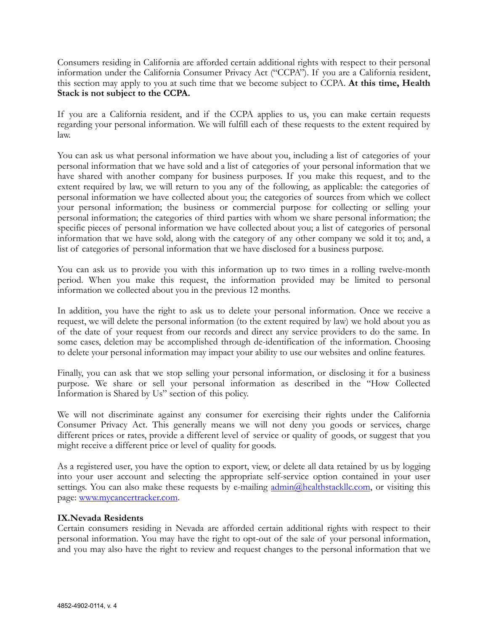Consumers residing in California are afforded certain additional rights with respect to their personal information under the California Consumer Privacy Act ("CCPA"). If you are a California resident, this section may apply to you at such time that we become subject to CCPA. **At this time, Health Stack is not subject to the CCPA.** 

If you are a California resident, and if the CCPA applies to us, you can make certain requests regarding your personal information. We will fulfill each of these requests to the extent required by law.

You can ask us what personal information we have about you, including a list of categories of your personal information that we have sold and a list of categories of your personal information that we have shared with another company for business purposes. If you make this request, and to the extent required by law, we will return to you any of the following, as applicable: the categories of personal information we have collected about you; the categories of sources from which we collect your personal information; the business or commercial purpose for collecting or selling your personal information; the categories of third parties with whom we share personal information; the specific pieces of personal information we have collected about you; a list of categories of personal information that we have sold, along with the category of any other company we sold it to; and, a list of categories of personal information that we have disclosed for a business purpose.

You can ask us to provide you with this information up to two times in a rolling twelve-month period. When you make this request, the information provided may be limited to personal information we collected about you in the previous 12 months.

In addition, you have the right to ask us to delete your personal information. Once we receive a request, we will delete the personal information (to the extent required by law) we hold about you as of the date of your request from our records and direct any service providers to do the same. In some cases, deletion may be accomplished through de-identification of the information. Choosing to delete your personal information may impact your ability to use our websites and online features.

Finally, you can ask that we stop selling your personal information, or disclosing it for a business purpose. We share or sell your personal information as described in the "How Collected Information is Shared by Us" section of this policy.

We will not discriminate against any consumer for exercising their rights under the California Consumer Privacy Act. This generally means we will not deny you goods or services, charge different prices or rates, provide a different level of service or quality of goods, or suggest that you might receive a different price or level of quality for goods.

As a registered user, you have the option to export, view, or delete all data retained by us by logging into your user account and selecting the appropriate self-service option contained in your user settings. You can also make these requests by e-mailing [admin@healthstackllc.com,](mailto:admin@healthstackllc.com) or visiting this page: [www.mycancertracker.com.](http://www.mycancertracker.com)

## **IX.Nevada Residents**

Certain consumers residing in Nevada are afforded certain additional rights with respect to their personal information. You may have the right to opt-out of the sale of your personal information, and you may also have the right to review and request changes to the personal information that we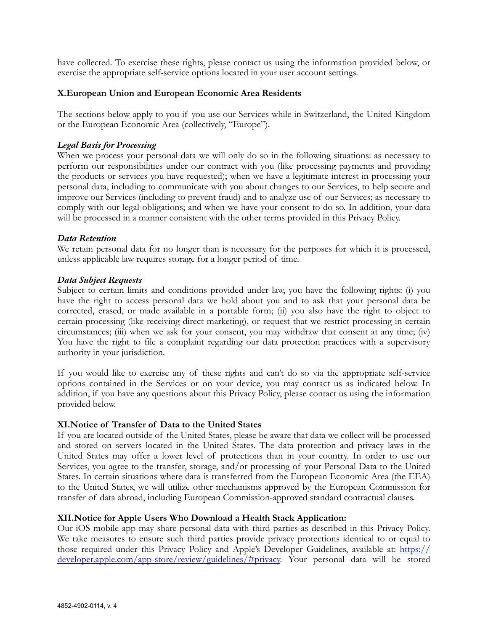have collected. To exercise these rights, please contact us using the information provided below, or exercise the appropriate self-service options located in your user account settings.

### **X.European Union and European Economic Area Residents**

The sections below apply to you if you use our Services while in Switzerland, the United Kingdom or the European Economic Area (collectively, "Europe").

#### *Legal Basis for Processing*

When we process your personal data we will only do so in the following situations: as necessary to perform our responsibilities under our contract with you (like processing payments and providing the products or services you have requested); when we have a legitimate interest in processing your personal data, including to communicate with you about changes to our Services, to help secure and improve our Services (including to prevent fraud) and to analyze use of our Services; as necessary to comply with our legal obligations; and when we have your consent to do so. In addition, your data will be processed in a manner consistent with the other terms provided in this Privacy Policy.

#### *Data Retention*

We retain personal data for no longer than is necessary for the purposes for which it is processed, unless applicable law requires storage for a longer period of time.

#### *Data Subject Requests*

Subject to certain limits and conditions provided under law, you have the following rights: (i) you have the right to access personal data we hold about you and to ask that your personal data be corrected, erased, or made available in a portable form; (ii) you also have the right to object to certain processing (like receiving direct marketing), or request that we restrict processing in certain circumstances; (iii) when we ask for your consent, you may withdraw that consent at any time; (iv) You have the right to file a complaint regarding our data protection practices with a supervisory authority in your jurisdiction.

If you would like to exercise any of these rights and can't do so via the appropriate self-service options contained in the Services or on your device, you may contact us as indicated below. In addition, if you have any questions about this Privacy Policy, please contact us using the information provided below.

#### **XI.Notice of Transfer of Data to the United States**

If you are located outside of the United States, please be aware that data we collect will be processed and stored on servers located in the United States. The data protection and privacy laws in the United States may offer a lower level of protections than in your country. In order to use our Services, you agree to the transfer, storage, and/or processing of your Personal Data to the United States. In certain situations where data is transferred from the European Economic Area (the EEA) to the United States, we will utilize other mechanisms approved by the European Commission for transfer of data abroad, including European Commission-approved standard contractual clauses.

#### **XII.Notice for Apple Users Who Download a Health Stack Application:**

Our iOS mobile app may share personal data with third parties as described in this Privacy Policy. We take measures to ensure such third parties provide privacy protections identical to or equal to those required under this Privacy Policy and Apple's Developer Guidelines, available at: [https://](https://developer.apple.com/app-store/review/guidelines/#privacy) [developer.apple.com/app-store/review/guidelines/#privacy.](https://developer.apple.com/app-store/review/guidelines/#privacy) Your personal data will be stored